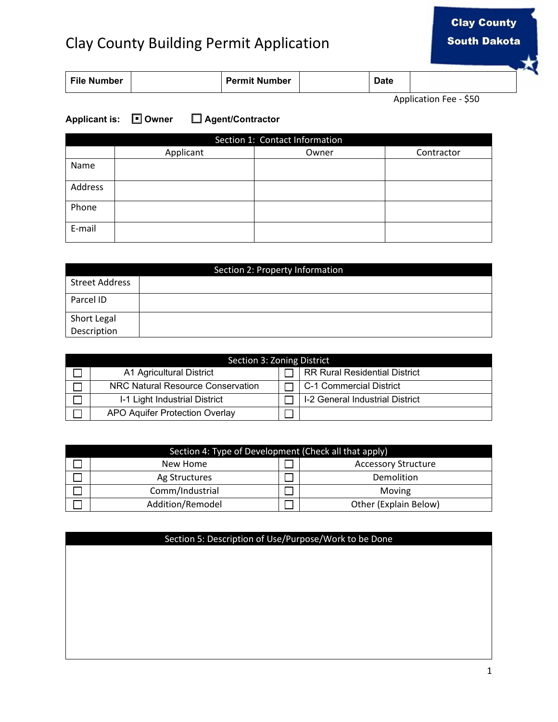## Clay County Building Permit Application

| <b>File Number</b> |  | <b>Permit Number</b> |  | Date |  |
|--------------------|--|----------------------|--|------|--|
|--------------------|--|----------------------|--|------|--|

Application Fee - \$50

## **Applicant is:** ☐ **Owner** ☐ **Agent/Contractor** ■

| Section 1: Contact Information |           |       |            |  |  |  |
|--------------------------------|-----------|-------|------------|--|--|--|
|                                | Applicant | Owner | Contractor |  |  |  |
| Name                           |           |       |            |  |  |  |
| Address                        |           |       |            |  |  |  |
| Phone                          |           |       |            |  |  |  |
| E-mail                         |           |       |            |  |  |  |

| Section 2: Property Information |  |  |  |  |
|---------------------------------|--|--|--|--|
| <b>Street Address</b>           |  |  |  |  |
| Parcel ID                       |  |  |  |  |
| Short Legal                     |  |  |  |  |
| Description                     |  |  |  |  |

| Section 3: Zoning District |                                   |  |                                      |  |  |
|----------------------------|-----------------------------------|--|--------------------------------------|--|--|
|                            | A1 Agricultural District          |  | <b>RR Rural Residential District</b> |  |  |
|                            | NRC Natural Resource Conservation |  | C-1 Commercial District              |  |  |
|                            | I-1 Light Industrial District     |  | I-2 General Industrial District      |  |  |
|                            | APO Aquifer Protection Overlay    |  |                                      |  |  |

| Section 4: Type of Development (Check all that apply) |                  |                            |                       |  |  |
|-------------------------------------------------------|------------------|----------------------------|-----------------------|--|--|
|                                                       | New Home         | <b>Accessory Structure</b> |                       |  |  |
|                                                       | Ag Structures    |                            | Demolition            |  |  |
|                                                       | Comm/Industrial  |                            | Moving                |  |  |
|                                                       | Addition/Remodel |                            | Other (Explain Below) |  |  |

## Section 5: Description of Use/Purpose/Work to be Done